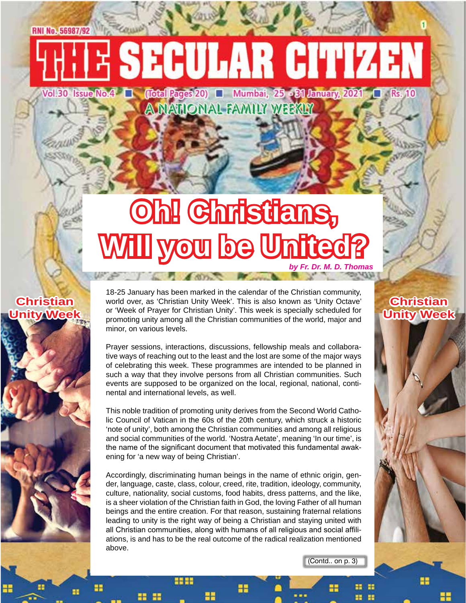# E SECULAR CITIZEN

Vol.30 Issue No.4 | Cotal Pages 20) | Mumbai, 25 - 21 January, 2021 | Rs. 10 **A NATIONAL FAMILY WEEKLY** 

# **Oh! Christians,**  Will you be United? *by Fr. Dr. M. D. Thomas*

#### **Christian Unity Week**



18-25 January has been marked in the calendar of the Christian community, world over, as 'Christian Unity Week'. This is also known as 'Unity Octave' or 'Week of Prayer for Christian Unity'. This week is specially scheduled for promoting unity among all the Christian communities of the world, major and minor, on various levels.

Prayer sessions, interactions, discussions, fellowship meals and collaborative ways of reaching out to the least and the lost are some of the major ways of celebrating this week. These programmes are intended to be planned in such a way that they involve persons from all Christian communities. Such events are supposed to be organized on the local, regional, national, continental and international levels, as well.

This noble tradition of promoting unity derives from the Second World Catholic Council of Vatican in the 60s of the 20th century, which struck a historic 'note of unity', both among the Christian communities and among all religious and social communities of the world. 'Nostra Aetate', meaning 'In our time', is the name of the significant document that motivated this fundamental awakening for 'a new way of being Christian'.

Accordingly, discriminating human beings in the name of ethnic origin, gender, language, caste, class, colour, creed, rite, tradition, ideology, community, culture, nationality, social customs, food habits, dress patterns, and the like, is a sheer violation of the Christian faith in God, the loving Father of all human beings and the entire creation. For that reason, sustaining fraternal relations leading to unity is the right way of being a Christian and staying united with all Christian communities, along with humans of all religious and social affiliations, is and has to be the real outcome of the radical realization mentioned above.

22

(Contd.. on p. 3)

#### **Christian Unity Week**

x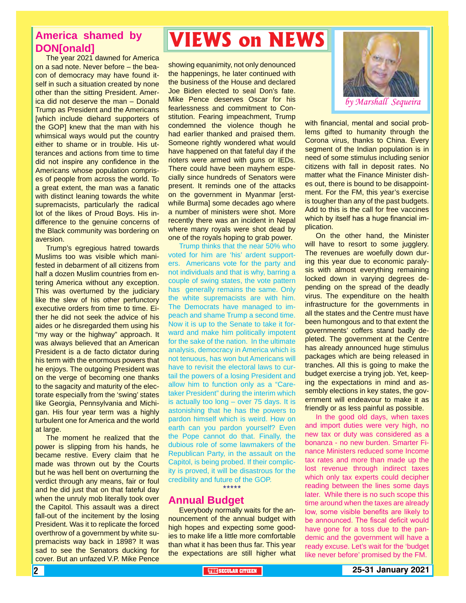#### **America shamed by DON[onald]**

The year 2021 dawned for America on a sad note. Never before – the beacon of democracy may have found itself in such a situation created by none other than the sitting President. America did not deserve the man – Donald Trump as President and the Americans [which include diehard supporters of the GOP] knew that the man with his whimsical ways would put the country either to shame or in trouble. His utterances and actions from time to time did not inspire any confidence in the Americans whose population comprises of people from across the world. To a great extent, the man was a fanatic with distinct leaning towards the white supremacists, particularly the radical lot of the likes of Proud Boys. His indifference to the genuine concerns of the Black community was bordering on aversion.

Trump's egregious hatred towards Muslims too was visible which manifested in debarment of all citizens from half a dozen Muslim countries from entering America without any exception. This was overturned by the judiciary like the slew of his other perfunctory executive orders from time to time. Either he did not seek the advice of his aides or he disregarded them using his "my way or the highway" approach. It was always believed that an American President is a de facto dictator during his term with the enormous powers that he enjoys. The outgoing President was on the verge of becoming one thanks to the sagacity and maturity of the electorate especially from the 'swing' states like Georgia, Pennsylvania and Michigan. His four year term was a highly turbulent one for America and the world at large.

The moment he realized that the power is slipping from his hands, he became restive. Every claim that he made was thrown out by the Courts but he was hell bent on overturning the verdict through any means, fair or foul and he did just that on that fateful day when the unruly mob literally took over the Capitol. This assault was a direct fall-out of the incitement by the losing President. Was it to replicate the forced overthrow of a government by white supremacists way back in 1898? It was sad to see the Senators ducking for cover. But an unfazed V.P. Mike Pence

# **VIEWS on NEWS**

showing equanimity, not only denounced the happenings, he later continued with the business of the House and declared Joe Biden elected to seal Don's fate. Mike Pence deserves Oscar for his fearlessness and commitment to Constitution. Fearing impeachment, Trump condemned the violence though he had earlier thanked and praised them. Someone rightly wondered what would have happened on that fateful day if the rioters were armed with guns or IEDs. There could have been mayhem especially since hundreds of Senators were present. It reminds one of the attacks on the government in Myanmar [erstwhile Burma] some decades ago where a number of ministers were shot. More recently there was an incident in Nepal where many royals were shot dead by one of the royals hoping to grab power.

Trump thinks that the near 50% who voted for him are 'his' ardent supporters. Americans vote for the party and not individuals and that is why, barring a couple of swing states, the vote pattern has generally remains the same. Only the white supremacists are with him. The Democrats have managed to impeach and shame Trump a second time. Now it is up to the Senate to take it forward and make him politically impotent for the sake of the nation. In the ultimate analysis, democracy in America which is not tenuous, has won but Americans will have to revisit the electoral laws to curtail the powers of a losing President and allow him to function only as a "Caretaker President" during the interim which is actually too long – over 75 days. It is astonishing that he has the powers to pardon himself which is weird. How on earth can you pardon yourself? Even the Pope cannot do that. Finally, the dubious role of some lawmakers of the Republican Party, in the assault on the Capitol, is being probed. If their complicity is proved, it will be disastrous for the credibility and future of the GOP.

\*\*\*\*\*

#### **Annual Budget**

Everybody normally waits for the announcement of the annual budget with high hopes and expecting some goodies to make life a little more comfortable than what it has been thus far. This year the expectations are still higher what



with financial, mental and social problems gifted to humanity through the Corona virus, thanks to China. Every segment of the Indian population is in need of some stimulus including senior citizens with fall in deposit rates. No matter what the Finance Minister dishes out, there is bound to be disappointment. For the FM, this year's exercise is tougher than any of the past budgets. Add to this is the call for free vaccines which by itself has a huge financial implication.

On the other hand, the Minister will have to resort to some jugglery. The revenues are woefully down during this year due to economic paralysis with almost everything remaining locked down in varying degrees depending on the spread of the deadly virus. The expenditure on the health infrastructure for the governments in all the states and the Centre must have been humongous and to that extent the governments' coffers stand badly depleted. The government at the Centre has already announced huge stimulus packages which are being released in tranches. All this is going to make the budget exercise a trying job. Yet, keeping the expectations in mind and assembly elections in key states, the government will endeavour to make it as friendly or as less painful as possible.

In the good old days, when taxes and import duties were very high, no new tax or duty was considered as a bonanza - no new burden. Smarter Finance Ministers reduced some Income tax rates and more than made up the lost revenue through indirect taxes which only tax experts could decipher reading between the lines some days later. While there is no such scope this time around when the taxes are already low, some visible benefits are likely to be announced. The fiscal deficit would have gone for a toss due to the pandemic and the government will have a ready excuse. Let's wait for the 'budget like never before' promised by the FM.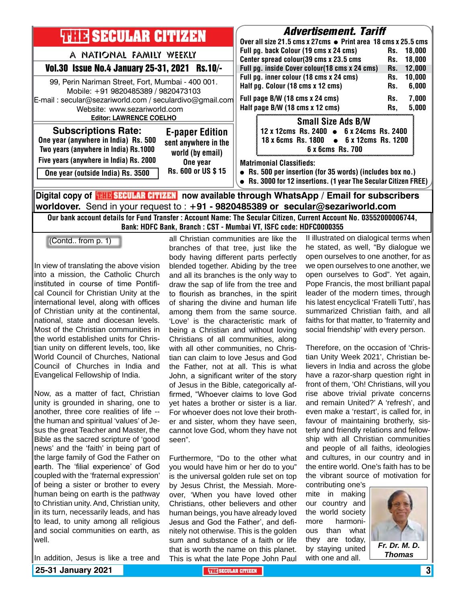

**worldover.** Send in your request to : **+91 - 9820485389 or secular@sezariworld.com** Our bank account details for Fund Transfer : Account Name: The Secular Citizen, Current Account No. 03552000006744, Bank: HDFC Bank, Branch : CST - Mumbai VT, ISFC code: HDFC0000355

all Christian communities are like the

(Contd.. from p. 1)

In view of translating the above vision into a mission, the Catholic Church instituted in course of time Pontifical Council for Christian Unity at the international level, along with offices of Christian unity at the continental, national, state and diocesan levels. Most of the Christian communities in the world established units for Christian unity on different levels, too, like World Council of Churches, National Council of Churches in India and Evangelical Fellowship of India.

Now, as a matter of fact, Christian unity is grounded in sharing, one to another, three core realities of life - the human and spiritual 'values' of Jesus the great Teacher and Master, the Bible as the sacred scripture of 'good news' and the 'faith' in being part of the large family of God the Father on earth. The 'filial experience' of God coupled with the 'fraternal expression' of being a sister or brother to every human being on earth is the pathway to Christian unity. And, Christian unity, in its turn, necessarily leads, and has to lead, to unity among all religious and social communities on earth, as well.

In addition, Jesus is like a tree and

branches of that tree, just like the body having different parts perfectly blended together. Abiding by the tree and all its branches is the only way to draw the sap of life from the tree and to flourish as branches, in the spirit of sharing the divine and human life among them from the same source. 'Love' is the characteristic mark of being a Christian and without loving Christians of all communities, along with all other communities, no Christian can claim to love Jesus and God the Father, not at all. This is what John, a significant writer of the story of Jesus in the Bible, categorically affirmed, "Whoever claims to love God yet hates a brother or sister is a liar. For whoever does not love their brother and sister, whom they have seen, cannot love God, whom they have not seen".

Furthermore, "Do to the other what you would have him or her do to you" is the universal golden rule set on top by Jesus Christ, the Messiah. Moreover, 'When you have loved other Christians, other believers and other human beings, you have already loved Jesus and God the Father', and definitely not otherwise. This is the golden sum and substance of a faith or life that is worth the name on this planet. This is what the late Pope John Paul II illustrated on dialogical terms when he stated, as well, "By dialogue we open ourselves to one another, for as we open ourselves to one another, we open ourselves to God". Yet again, Pope Francis, the most brilliant papal leader of the modern times, through his latest encyclical 'Fratelli Tutti', has summarized Christian faith, and all faiths for that matter, to 'fraternity and social friendship' with every person.

Therefore, on the occasion of 'Christian Unity Week 2021', Christian believers in India and across the globe have a razor-sharp question right in front of them, 'Oh! Christians, will you rise above trivial private concerns and remain United?' A 'refresh', and even make a 'restart', is called for, in favour of maintaining brotherly, sisterly and friendly relations and fellowship with all Christian communities and people of all faiths, ideologies and cultures, in our country and in the entire world. One's faith has to be the vibrant source of motivation for

contributing one's mite in making our country and the world society more harmonious than what they are today, by staying united with one and all.



*Thomas*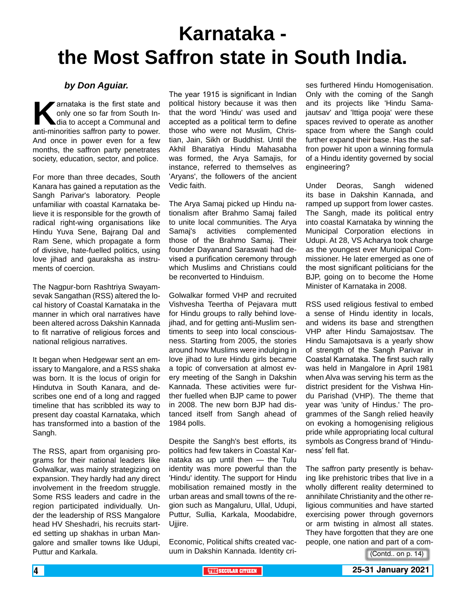# **Karnataka the Most Saffron state in South India.**

#### *by Don Aguiar.*

**K**arnataka is the first state and<br>only one so far from South In-<br>dia to accept a Communal and<br>anti-minorities saffron party to power. only one so far from South India to accept a Communal and anti-minorities saffron party to power. And once in power even for a few months, the saffron party penetrates society, education, sector, and police.

For more than three decades, South Kanara has gained a reputation as the Sangh Parivar's laboratory. People unfamiliar with coastal Karnataka believe it is responsible for the growth of radical right-wing organisations like Hindu Yuva Sene, Bajrang Dal and Ram Sene, which propagate a form of divisive, hate-fuelled politics, using love jihad and gauraksha as instruments of coercion.

The Nagpur-born Rashtriya Swayamsevak Sangathan (RSS) altered the local history of Coastal Karnataka in the manner in which oral narratives have been altered across Dakshin Kannada to fit narrative of religious forces and national religious narratives.

It began when Hedgewar sent an emissary to Mangalore, and a RSS shaka was born. It is the locus of origin for Hindutva in South Kanara, and describes one end of a long and ragged timeline that has scribbled its way to present day coastal Karnataka, which has transformed into a bastion of the Sangh.

The RSS, apart from organising programs for their national leaders like Golwalkar, was mainly strategizing on expansion. They hardly had any direct involvement in the freedom struggle. Some RSS leaders and cadre in the region participated individually. Under the leadership of RSS Mangalore head HV Sheshadri, his recruits started setting up shakhas in urban Mangalore and smaller towns like Udupi, Puttur and Karkala.

The year 1915 is significant in Indian political history because it was then that the word 'Hindu' was used and accepted as a political term to define those who were not Muslim, Christian, Jain, Sikh or Buddhist. Until the Akhil Bharatiya Hindu Mahasabha was formed, the Arya Samajis, for instance, referred to themselves as 'Aryans', the followers of the ancient Vedic faith.

The Arya Samaj picked up Hindu nationalism after Brahmo Samaj failed to unite local communities. The Arya Samaj's activities complemented those of the Brahmo Samaj. Their founder Dayanand Saraswati had devised a purification ceremony through which Muslims and Christians could be reconverted to Hinduism.

Golwalkar formed VHP and recruited Vishvesha Teertha of Pejavara mutt for Hindu groups to rally behind lovejihad, and for getting anti-Muslim sentiments to seep into local consciousness. Starting from 2005, the stories around how Muslims were indulging in love jihad to lure Hindu girls became a topic of conversation at almost every meeting of the Sangh in Dakshin Kannada. These activities were further fuelled when BJP came to power in 2008. The new born BJP had distanced itself from Sangh ahead of 1984 polls.

Despite the Sangh's best efforts, its politics had few takers in Coastal Karnataka as up until then — the Tulu identity was more powerful than the 'Hindu' identity. The support for Hindu mobilisation remained mostly in the urban areas and small towns of the region such as Mangaluru, Ullal, Udupi, Puttur, Sullia, Karkala, Moodabidre, Ujjire.

Economic, Political shifts created vacuum in Dakshin Kannada. Identity cri-

ses furthered Hindu Homogenisation. Only with the coming of the Sangh and its projects like 'Hindu Samajautsav' and 'Ittiga pooja' were these spaces revived to operate as another space from where the Sangh could further expand their base. Has the saffron power hit upon a winning formula of a Hindu identity governed by social engineering?

Under Deoras, Sangh widened its base in Dakshin Kannada, and ramped up support from lower castes. The Sangh, made its political entry into coastal Karnataka by winning the Municipal Corporation elections in Udupi. At 28, VS Acharya took charge as the youngest ever Municipal Commissioner. He later emerged as one of the most significant politicians for the BJP, going on to become the Home Minister of Karnataka in 2008.

RSS used religious festival to embed a sense of Hindu identity in locals, and widens its base and strengthen VHP after Hindu Samajostsav. The Hindu Samajotsava is a yearly show of strength of the Sangh Parivar in Coastal Karnataka. The first such rally was held in Mangalore in April 1981 when Alva was serving his term as the district president for the Vishwa Hindu Parishad (VHP). The theme that year was 'unity of Hindus.' The programmes of the Sangh relied heavily on evoking a homogenising religious pride while appropriating local cultural symbols as Congress brand of 'Hinduness' fell flat.

The saffron party presently is behaving like prehistoric tribes that live in a wholly different reality determined to annihilate Christianity and the other religious communities and have started exercising power through governors or arm twisting in almost all states. They have forgotten that they are one people, one nation and part of a com-

<sup>(</sup>Contd.. on p. 14)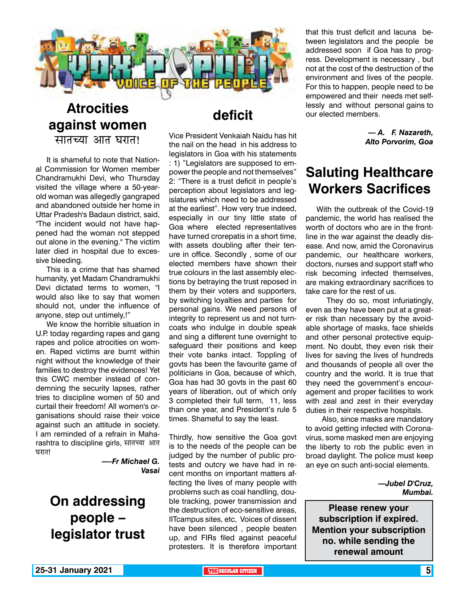

#### **Atrocities against women**  सातच्या आत घरात!

It is shameful to note that National Commission for Women member Chandramukhi Devi, who Thursday visited the village where a 50-yearold woman was allegedly gangraped and abandoned outside her home in Uttar Pradesh's Badaun district, said, "The incident would not have happened had the woman not stepped out alone in the evening." The victim later died in hospital due to excessive bleeding.

This is a crime that has shamed humanity, yet Madam Chandramukhi Devi dictated terms to women, "I would also like to say that women should not, under the influence of anyone, step out untimely,!"

We know the horrible situation in U.P. today regarding rapes and gang rapes and police atrocities on women. Raped victims are burnt within night without the knowledge of their families to destroy the evidences! Yet this CWC member instead of condemning the security lapses, rather tries to discipline women of 50 and curtail their freedom! All women's organisations should raise their voice against such an attitude in society. I am reminded of a refrain in Maharashtra to discipline girls, सातच्या आत घरात!

> *—-Fr Michael G. Vasai*

### **On addressing people – legislator trust**

### **deficit**

Vice President Venkaiah Naidu has hit the nail on the head in his address to legislators in Goa with his statements : 1) "Legislators are supposed to empower the people and not themselves" 2: "There is a trust deficit in people's perception about legislators and legislatures which need to be addressed at the earliest". How very true indeed, especially in our tiny little state of Goa where elected representatives have turned crorepatis in a short time, with assets doubling after their tenure in office. Secondly , some of our elected members have shown their true colours in the last assembly elections by betraying the trust reposed in them by their voters and supporters, by switching loyalties and parties for personal gains. We need persons of integrity to represent us and not turncoats who indulge in double speak and sing a different tune overnight to safeguard their positions and keep their vote banks intact. Toppling of govts has been the favourite game of politicians in Goa, because of which, Goa has had 30 govts in the past 60 years of liberation, out of which only 3 completed their full term, 11, less than one year, and President's rule 5 times. Shameful to say the least.

Thirdly, how sensitive the Goa govt is to the needs of the people can be judged by the number of public protests and outcry we have had in recent months on important matters affecting the lives of many people with problems such as coal handling, double tracking, power transmission and the destruction of eco-sensitive areas, IITcampus sites, etc, Voices of dissent have been silenced , people beaten up, and FIRs filed against peaceful protesters. It is therefore important that this trust deficit and lacuna between legislators and the people be addressed soon if Goa has to progress. Development is necessary , but not at the cost of the destruction of the environment and lives of the people. For this to happen, people need to be empowered and their needs met selflessly and without personal gains to our elected members.

> *— A. F. Nazareth, Alto Porvorim, Goa*

### **Saluting Healthcare Workers Sacrifices**

With the outbreak of the Covid-19 pandemic, the world has realised the worth of doctors who are in the frontline in the war against the deadly disease. And now, amid the Coronavirus pandemic, our healthcare workers, doctors, nurses and support staff who risk becoming infected themselves, are making extraordinary sacrifices to take care for the rest of us.

 They do so, most infuriatingly, even as they have been put at a greater risk than necessary by the avoidable shortage of masks, face shields and other personal protective equipment. No doubt, they even risk their lives for saving the lives of hundreds and thousands of people all over the country and the world. It is true that they need the government's encouragement and proper facilities to work with zeal and zest in their everyday duties in their respective hospitals.

 Also, since masks are mandatory to avoid getting infected with Coronavirus, some masked men are enjoying the liberty to rob the public even in broad daylight. The police must keep an eye on such anti-social elements.

> *—Jubel D'Cruz, Mumbai.*

**Please renew your subscription if expired. Mention your subscription no. while sending the renewal amount**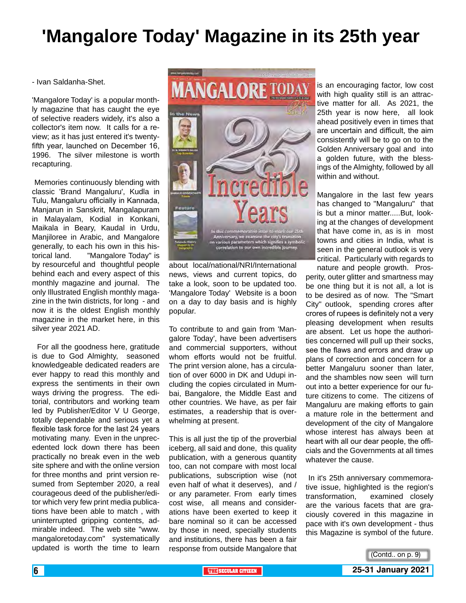### **'Mangalore Today' Magazine in its 25th year**

- Ivan Saldanha-Shet.

'Mangalore Today' is a popular monthly magazine that has caught the eye of selective readers widely, it's also a collector's item now. It calls for a review; as it has just entered it's twentyfifth year, launched on December 16, 1996. The silver milestone is worth recapturing.

 Memories continuously blending with classic 'Brand Mangaluru', Kudla in Tulu, Mangaluru officially in Kannada, Manjarun in Sanskrit, Mangalapuram in Malayalam, Kodial in Konkani, Maikala in Beary, Kaudal in Urdu, Manjiloree in Arabic, and Mangalore generally, to each his own in this historical land. "Mangalore Today" is by resourceful and thoughtful people behind each and every aspect of this monthly magazine and journal. The only Illustrated English monthly magazine in the twin districts, for long - and now it is the oldest English monthly magazine in the market here, in this silver year 2021 AD.

 For all the goodness here, gratitude is due to God Almighty, seasoned knowledgeable dedicated readers are ever happy to read this monthly and express the sentiments in their own ways driving the progress. The editorial, contributors and working team led by Publisher/Editor V U George, totally dependable and serious yet a flexible task force for the last 24 years motivating many. Even in the unprecedented lock down there has been practically no break even in the web site sphere and with the online version for three months and print version resumed from September 2020, a real courageous deed of the publisher/editor which very few print media publications have been able to match , with uninterrupted gripping contents, admirable indeed. The web site "www. mangaloretoday.com" systematically updated is worth the time to learn



about local/national/NRI/International news, views and current topics, do take a look, soon to be updated too. 'Mangalore Today' Website is a boon on a day to day basis and is highly popular.

To contribute to and gain from 'Mangalore Today', have been advertisers and commercial supporters, without whom efforts would not be fruitful. The print version alone, has a circulation of over 6000 in DK and Udupi including the copies circulated in Mumbai, Bangalore, the Middle East and other countries. We have, as per fair estimates, a readership that is overwhelming at present.

This is all just the tip of the proverbial iceberg, all said and done, this quality publication, with a generous quantity too, can not compare with most local publications, subscription wise (not even half of what it deserves), and / or any parameter. From early times cost wise, all means and considerations have been exerted to keep it bare nominal so it can be accessed by those in need, specially students and institutions, there has been a fair response from outside Mangalore that is an encouraging factor, low cost with high quality still is an attractive matter for all. As 2021, the 25th year is now here, all look ahead positively even in times that are uncertain and difficult, the aim consistently will be to go on to the Golden Anniversary goal and into a golden future, with the blessings of the Almighty, followed by all within and without.

Mangalore in the last few years has changed to "Mangaluru" that is but a minor matter.....But, looking at the changes of development that have come in, as is in most towns and cities in India, what is seen in the general outlook is very critical. Particularly with regards to nature and people growth. Pros-

perity, outer glitter and smartness may be one thing but it is not all, a lot is to be desired as of now. The "Smart City" outlook, spending crores after crores of rupees is definitely not a very pleasing development when results are absent. Let us hope the authorities concerned will pull up their socks, see the flaws and errors and draw up plans of correction and concern for a better Mangaluru sooner than later, and the shambles now seen will turn out into a better experience for our future citizens to come. The citizens of Mangaluru are making efforts to gain a mature role in the betterment and development of the city of Mangalore whose interest has always been at heart with all our dear people, the officials and the Governments at all times whatever the cause.

 In it's 25th anniversary commemorative issue, highlighted is the region's transformation, examined closely are the various facets that are graciously covered in this magazine in pace with it's own development - thus this Magazine is symbol of the future.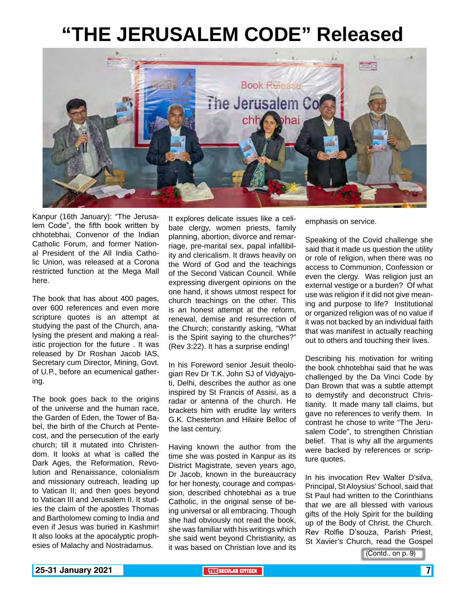# **"THE JERUSALEM CODE" Released**



Kanpur (16th January): "The Jerusalem Code", the fifth book written by chhotebhai, Convenor of the Indian Catholic Forum, and former National President of the All India Catholic Union, was released at a Corona restricted function at the Mega Mall here.

The book that has about 400 pages, over 600 references and even more scripture quotes is an attempt at studying the past of the Church, analysing the present and making a realistic projection for the future . It was released by Dr Roshan Jacob IAS, Secretary cum Director, Mining, Govt. of U.P., before an ecumenical gathering.

The book goes back to the origins of the universe and the human race, the Garden of Eden, the Tower of Babel, the birth of the Church at Pentecost, and the persecution of the early church; till it mutated into Christendom. It looks at what is called the Dark Ages, the Reformation, Revolution and Renaissance, colonialism and missionary outreach, leading up to Vatican II; and then goes beyond to Vatican III and Jerusalem II. It studies the claim of the apostles Thomas and Bartholomew coming to India and even if Jesus was buried in Kashmir! It also looks at the apocalyptic prophesies of Malachy and Nostradamus.

It explores delicate issues like a celibate clergy, women priests, family planning, abortion, divorce and remarriage, pre-marital sex, papal infallibility and clericalism. It draws heavily on the Word of God and the teachings of the Second Vatican Council. While expressing divergent opinions on the one hand, it shows utmost respect for church teachings on the other. This is an honest attempt at the reform, renewal, demise and resurrection of the Church; constantly asking, "What is the Spirit saying to the churches?" (Rev 3:22). It has a surprise ending!

In his Foreword senior Jesuit theologian Rev Dr T.K. John SJ of Vidyajyoti, Delhi, describes the author as one inspired by St Francis of Assisi, as a radar or antenna of the church. He brackets him with erudite lay writers G.K. Chesterton and Hilaire Belloc of the last century.

Having known the author from the time she was posted in Kanpur as its District Magistrate, seven years ago, Dr Jacob, known in the bureaucracy for her honesty, courage and compassion, described chhotebhai as a true Catholic, in the original sense of being universal or all embracing. Though she had obviously not read the book, she was familiar with his writings which she said went beyond Christianity, as it was based on Christian love and its emphasis on service.

Speaking of the Covid challenge she said that it made us question the utility or role of religion, when there was no access to Communion, Confession or even the clergy. Was religion just an external vestige or a burden? Of what use was religion if it did not give meaning and purpose to life? Institutional or organized religion was of no value if it was not backed by an individual faith that was manifest in actually reaching out to others and touching their lives.

Describing his motivation for writing the book chhotebhai said that he was challenged by the Da Vinci Code by Dan Brown that was a subtle attempt to demystify and deconstruct Christianity. It made many tall claims, but gave no references to verify them. In contrast he chose to write "The Jerusalem Code", to strengthen Christian belief. That is why all the arguments were backed by references or scripture quotes.

In his invocation Rev Walter D'silva, Principal, St Aloysius' School, said that St Paul had written to the Corinthians that we are all blessed with various gifts of the Holy Spirit for the building up of the Body of Christ, the Church. Rev Rolfie D'souza, Parish Priest, St Xavier's Church, read the Gospel

(Contd.. on p. 9)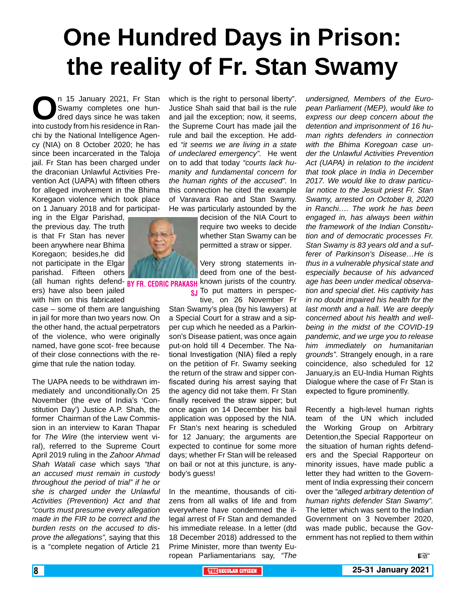# **One Hundred Days in Prison: the reality of Fr. Stan Swamy**

n 15 January 2021, Fr Stan<br>
Swamy completes one hun-<br>
into custody from his residence in Ran-Swamy completes one hundred days since he was taken chi by the National Intelligence Agency (NIA) on 8 October 2020; he has since been incarcerated in the Taloja jail. Fr Stan has been charged under the draconian Unlawful Activities Prevention Act (UAPA) with fifteen others for alleged involvement in the Bhima Koregaon violence which took place on 1 January 2018 and for participat-

ing in the Elgar Parishad, the previous day. The truth is that Fr Stan has never been anywhere near Bhima Koregaon; besides,he did not participate in the Elgar parishad. Fifteen others

ers) have also been jailed with him on this fabricated

case – some of them are languishing in jail for more than two years now. On the other hand, the actual perpetrators of the violence, who were originally named, have gone scot- free because of their close connections with the regime that rule the nation today.

The UAPA needs to be withdrawn immediately and unconditionally.On 25 November (the eve of India's 'Constitution Day') Justice A.P. Shah, the former Chairman of the Law Commission in an interview to Karan Thapar for *The Wire* (the interview went viral), referred to the Supreme Court April 2019 ruling in the *Zahoor Ahmad Shah Watali case* which says *"that an accused must remain in custody throughout the period of trial" if he or she is charged under the Unlawful Activities (Prevention) Act and that "courts must presume every allegation made in the FIR to be correct and the burden rests on the accused to disprove the allegations",* saying that this is a "complete negation of Article 21

which is the right to personal liberty". Justice Shah said that bail is the rule and jail the exception; now, it seems, the Supreme Court has made jail the rule and bail the exception. He added *"it seems we are living in a state of undeclared emergency".* He went on to add that today *"courts lack humanity and fundamental concern for the human rights of the accused".* In this connection he cited the example of Varavara Rao and Stan Swamy. He was particularly astounded by the

decision of the NIA Court to require two weeks to decide whether Stan Swamy can be permitted a straw or sipper.

(all human rights defend- BY FR. CEDRIC PRAKASH known jurists of the country. Very strong statements indeed from one of the best-

**sj** To put matters in perspective, on 26 November Fr

Stan Swamy's plea (by his lawyers) at a Special Court for a straw and a sipper cup which he needed as a Parkinson's Disease patient, was once again put-on hold till 4 December. The National Investigation (NIA) filed a reply on the petition of Fr. Swamy seeking the return of the straw and sipper confiscated during his arrest saying that the agency did not take them. Fr Stan finally received the straw sipper; but once again on 14 December his bail application was opposed by the NIA. Fr Stan's next hearing is scheduled for 12 January; the arguments are expected to continue for some more days; whether Fr Stan will be released on bail or not at this juncture, is anybody's guess!

In the meantime, thousands of citizens from all walks of life and from everywhere have condemned the illegal arrest of Fr Stan and demanded his immediate release. In a letter (dtd 18 December 2018) addressed to the Prime Minister, more than twenty European Parliamentarians say, *"The* 

*undersigned, Members of the European Parliament (MEP), would like to express our deep concern about the detention and imprisonment of 16 human rights defenders in connection with the Bhima Koregoan case under the Unlawful Activities Prevention Act (UAPA) in relation to the incident that took place in India in December 2017. We would like to draw particular notice to the Jesuit priest Fr. Stan Swamy, arrested on October 8, 2020 in Ranchi…. The work he has been engaged in, has always been within the framework of the Indian Constitution and of democratic processes Fr. Stan Swamy is 83 years old and a sufferer of Parkinson's Disease…He is thus in a vulnerable physical state and especially because of his advanced age has been under medical observation and special diet. His captivity has in no doubt impaired his health for the last month and a hall. We are deeply concerned about his health and wellbeing in the midst of the COVID-19 pandemic, and we urge you to release him immediately on humanitarian grounds"*. Strangely enough, in a rare coincidence, also scheduled for 12 January,is an EU-India Human Rights Dialogue where the case of Fr Stan is expected to figure prominently.

Recently a high-level human rights team of the UN which included the Working Group on Arbitrary Detention,the Special Rapporteur on the situation of human rights defenders and the Special Rapporteur on minority issues, have made public a letter they had written to the Government of India expressing their concern over the *"alleged arbitrary detention of human rights defender Stan Swamy".* The letter which was sent to the Indian Government on 3 November 2020, was made public, because the Government has not replied to them within



 $\mathbb{R}$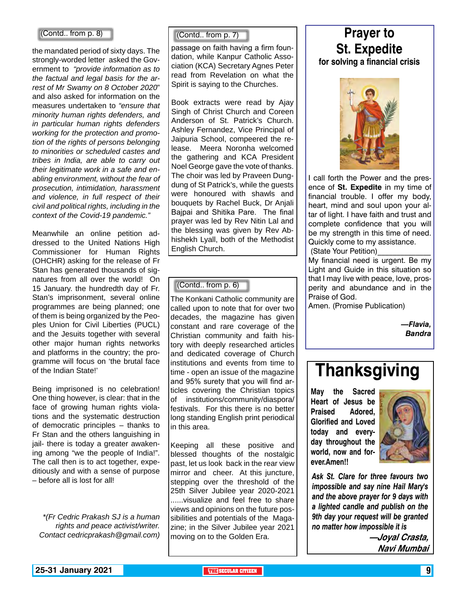#### (Contd.. from p. 8)

the mandated period of sixty days. The strongly-worded letter asked the Government to *"provide information as to the factual and legal basis for the arrest of Mr Swamy on 8 October 2020*" and also asked for information on the measures undertaken to *"ensure that minority human rights defenders, and in particular human rights defenders working for the protection and promotion of the rights of persons belonging to minorities or scheduled castes and tribes in India, are able to carry out their legitimate work in a safe and enabling environment, without the fear of prosecution, intimidation, harassment and violence, in full respect of their civil and political rights, including in the context of the Covid-19 pandemic."*

Meanwhile an online petition addressed to the United Nations High Commissioner for Human Rights (OHCHR) asking for the release of Fr Stan has generated thousands of signatures from all over the world! On 15 January. the hundredth day of Fr. Stan's imprisonment, several online programmes are being planned; one of them is being organized by the Peoples Union for Civil Liberties (PUCL) and the Jesuits together with several other major human rights networks and platforms in the country; the programme will focus on 'the brutal face of the Indian State!'

Being imprisoned is no celebration! One thing however, is clear: that in the face of growing human rights violations and the systematic destruction of democratic principles – thanks to Fr Stan and the others languishing in jail- there is today a greater awakening among "we the people of India!". The call then is to act together, expeditiously and with a sense of purpose – before all is lost for all!

*\*(Fr Cedric Prakash SJ is a human rights and peace activist/writer. Contact cedricprakash@gmail.com)*

(Contd.. from p. 7)

passage on faith having a firm foundation, while Kanpur Catholic Association (KCA) Secretary Agnes Peter read from Revelation on what the Spirit is saying to the Churches.

Book extracts were read by Ajay Singh of Christ Church and Coreen Anderson of St. Patrick's Church. Ashley Fernandez, Vice Principal of Jaipuria School, compeered the release. Meera Noronha welcomed the gathering and KCA President Noel George gave the vote of thanks. The choir was led by Praveen Dungdung of St Patrick's, while the guests were honoured with shawls and bouquets by Rachel Buck, Dr Anjali Bajpai and Shitika Pare. The final prayer was led by Rev Nitin Lal and the blessing was given by Rev Abhishekh Lyall, both of the Methodist English Church.

#### (Contd.. from p. 6)

The Konkani Catholic community are called upon to note that for over two decades, the magazine has given constant and rare coverage of the Christian community and faith history with deeply researched articles and dedicated coverage of Church institutions and events from time to time - open an issue of the magazine and 95% surety that you will find articles covering the Christian topics of institutions/community/diaspora/ festivals. For this there is no better long standing English print periodical in this area.

Keeping all these positive and blessed thoughts of the nostalgic past, let us look back in the rear view mirror and cheer. At this juncture, stepping over the threshold of the 25th Silver Jubilee year 2020-2021 ......visualize and feel free to share views and opinions on the future possibilities and potentials of the Magazine; in the Silver Jubilee year 2021 moving on to the Golden Era.

### **Prayer to St. Expedite**

#### **for solving a financial crisis**



I call forth the Power and the presence of **St. Expedite** in my time of financial trouble. I offer my body, heart, mind and soul upon your altar of light. I have faith and trust and complete confidence that you will be my strength in this time of need. Quickly come to my assistance. (State Your Petition)\_\_\_\_\_\_\_\_\_\_\_\_\_\_

My financial need is urgent. Be my Light and Guide in this situation so that I may live with peace, love, prosperity and abundance and in the Praise of God.

Amen. (Promise Publication)

*—Flavia, Bandra*

### **Thanksgiving**

**May the Sacred Heart of Jesus be Praised Adored, Glorified and Loved today and everyday throughout the world, now and forever.Amen!!**



*Ask St. Clare for three favours two impossible and say nine Hail Mary's and the above prayer for 9 days with a lighted candle and publish on the 9th day your request will be granted no matter how impossible it is*

> **—Joyal Crasta, Navi Mumbai**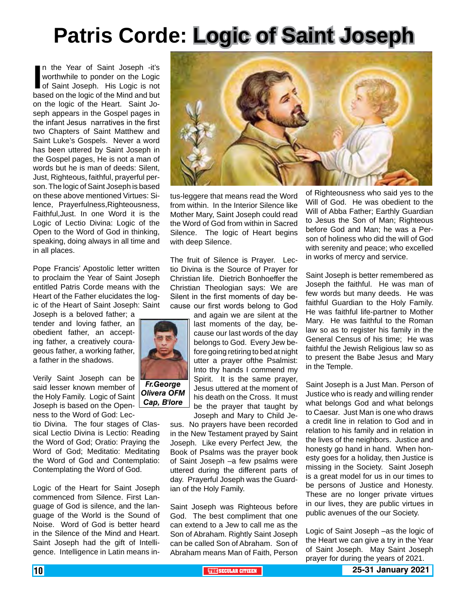# **Patris Corde: Logic of Saint Joseph**

In the Year of Saint Joseph -it's<br>
worthwhile to ponder on the Logic<br>
of Saint Joseph. His Logic is not<br>
based on the logic of the Mind and but n the Year of Saint Joseph -it's worthwhile to ponder on the Logic of Saint Joseph. His Logic is not on the logic of the Heart. Saint Joseph appears in the Gospel pages in the infant Jesus narratives in the first two Chapters of Saint Matthew and Saint Luke's Gospels. Never a word has been uttered by Saint Joseph in the Gospel pages, He is not a man of words but he is man of deeds: Silent, Just, Righteous, faithful, prayerful person. The logic of Saint Joseph is based on these above mentioned Virtues: Silence, Prayerfulness,Righteousness, Faithful,Just. In one Word it is the Logic of Lectio Divina: Logic of the Open to the Word of God in thinking, speaking, doing always in all time and in all places.

Pope Francis' Apostolic letter written to proclaim the Year of Saint Joseph entitled Patris Corde means with the Heart of the Father elucidates the logic of the Heart of Saint Joseph: Saint

Joseph is a beloved father; a tender and loving father, an obedient father, an accepting father, a creatively courageous father, a working father, a father in the shadows.

Verily Saint Joseph can be said lesser known member of the Holy Family. Logic of Saint Joseph is based on the Openness to the Word of God: Lec-

tio Divina. The four stages of Classical Lectio Divina is Lectio: Reading the Word of God; Oratio: Praying the Word of God; Meditatio: Meditating the Word of God and Contemplatio: Contemplating the Word of God.

Logic of the Heart for Saint Joseph commenced from Silence. First Language of God is silence, and the language of the World is the Sound of Noise. Word of God is better heard in the Silence of the Mind and Heart. Saint Joseph had the gift of Intelligence. Intelligence in Latin means in-



tus-leggere that means read the Word from within. In the Interior Silence like Mother Mary, Saint Joseph could read the Word of God from within in Sacred Silence. The logic of Heart begins with deep Silence.

The fruit of Silence is Prayer. Lectio Divina is the Source of Prayer for Christian life. Dietrich Bonhoeffer the Christian Theologian says: We are Silent in the first moments of day because our first words belong to God

and again we are silent at the last moments of the day, because our last words of the day belongs to God. Every Jew before going retiring to bed at night utter a prayer ofthe Psalmist: Into thy hands I commend my Spirit. It is the same prayer, Jesus uttered at the moment of his death on the Cross. It must be the prayer that taught by Joseph and Mary to Child Je-

sus. No prayers have been recorded in the New Testament prayed by Saint Joseph. Like every Perfect Jew, the Book of Psalms was the prayer book of Saint Joseph –a few psalms were uttered during the different parts of day. Prayerful Joseph was the Guardian of the Holy Family.

Saint Joseph was Righteous before God. The best compliment that one can extend to a Jew to call me as the Son of Abraham. Rightly Saint Joseph can be called Son of Abraham. Son of Abraham means Man of Faith, Person

of Righteousness who said yes to the Will of God. He was obedient to the Will of Abba Father; Earthly Guardian to Jesus the Son of Man; Righteous before God and Man; he was a Person of holiness who did the will of God with serenity and peace; who excelled in works of mercy and service.

Saint Joseph is better remembered as Joseph the faithful. He was man of few words but many deeds. He was faithful Guardian to the Holy Family. He was faithful life-partner to Mother Mary. He was faithful to the Roman law so as to register his family in the General Census of his time; He was faithful the Jewish Religious law so as to present the Babe Jesus and Mary in the Temple.

Saint Joseph is a Just Man. Person of Justice who is ready and willing render what belongs God and what belongs to Caesar. Just Man is one who draws a credit line in relation to God and in relation to his family and in relation in the lives of the neighbors. Justice and honesty go hand in hand. When honesty goes for a holiday, then Justice is missing in the Society. Saint Joseph is a great model for us in our times to be persons of Justice and Honesty. These are no longer private virtues in our lives, they are public virtues in public avenues of the our Society.

Logic of Saint Joseph –as the logic of the Heart we can give a try in the Year of Saint Joseph. May Saint Joseph prayer for during the years of 2021.



*Olivera OFM Cap, B'lore*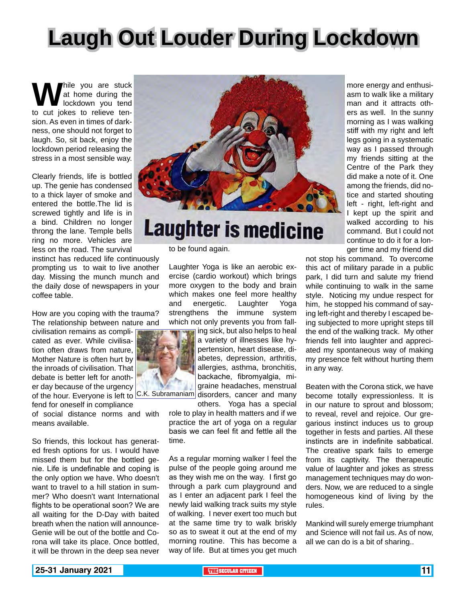# **Laugh Out Louder During Lockdown**

**W** hile you are stuck<br>to cut jokes to relieve tenat home during the lockdown you tend sion. As even in times of darkness, one should not forget to laugh. So, sit back, enjoy the lockdown period releasing the stress in a most sensible way.

Clearly friends, life is bottled up. The genie has condensed to a thick layer of smoke and entered the bottle.The lid is screwed tightly and life is in a bind. Children no longer throng the lane. Temple bells ring no more. Vehicles are less on the road. The survival

instinct has reduced life continuously prompting us to wait to live another day. Missing the munch munch and the daily dose of newspapers in your coffee table.

How are you coping with the trauma? The relationship between nature and

civilisation remains as complicated as ever. While civilisation often draws from nature, Mother Nature is often hurt by the inroads of civilisation. That debate is better left for another day because of the urgency

fend for oneself in compliance

of social distance norms and with means available.

So friends, this lockout has generated fresh options for us. I would have missed them but for the bottled genie. Life is undefinable and coping is the only option we have. Who doesn't want to travel to a hill station in summer? Who doesn't want International flights to be operational soon? We are all waiting for the D-Day with baited breath when the nation will announce-Genie will be out of the bottle and Corona will take its place. Once bottled, it will be thrown in the deep sea never



# **Laughter is medicine**

to be found again.

Laughter Yoga is like an aerobic exercise (cardio workout) which brings more oxygen to the body and brain which makes one feel more healthy and energetic. Laughter Yoga strengthens the immune system which not only prevents you from fall-

of the hour. Everyone is left to C.K. Subramaniam disorders, cancer and many ing sick, but also helps to heal a variety of illnesses like hypertension, heart disease, diabetes, depression, arthritis, allergies, asthma, bronchitis, backache, fibromyalgia, migraine headaches, menstrual

> others. Yoga has a special role to play in health matters and if we practice the art of yoga on a regular basis we can feel fit and fettle all the time.

> As a regular morning walker I feel the pulse of the people going around me as they wish me on the way. I first go through a park cum playground and as I enter an adjacent park I feel the newly laid walking track suits my style of walking. I never exert too much but at the same time try to walk briskly so as to sweat it out at the end of my morning routine. This has become a way of life. But at times you get much

more energy and enthusiasm to walk like a military man and it attracts others as well. In the sunny morning as I was walking stiff with my right and left legs going in a systematic way as I passed through my friends sitting at the Centre of the Park they did make a note of it. One among the friends, did notice and started shouting left - right, left-right and I kept up the spirit and walked according to his command. But I could not continue to do it for a longer time and my friend did

not stop his command. To overcome this act of military parade in a public park, I did turn and salute my friend while continuing to walk in the same style. Noticing my undue respect for him, he stopped his command of saying left-right and thereby I escaped being subjected to more upright steps till the end of the walking track. My other friends fell into laughter and appreciated my spontaneous way of making my presence felt without hurting them in any way.

Beaten with the Corona stick, we have become totally expressionless. It is in our nature to sprout and blossom; to reveal, revel and rejoice. Our gregarious instinct induces us to group together in fests and parties. All these instincts are in indefinite sabbatical. The creative spark fails to emerge from its captivity. The therapeutic value of laughter and jokes as stress management techniques may do wonders. Now, we are reduced to a single homogeneous kind of living by the rules.

Mankind will surely emerge triumphant and Science will not fail us. As of now, all we can do is a bit of sharing..

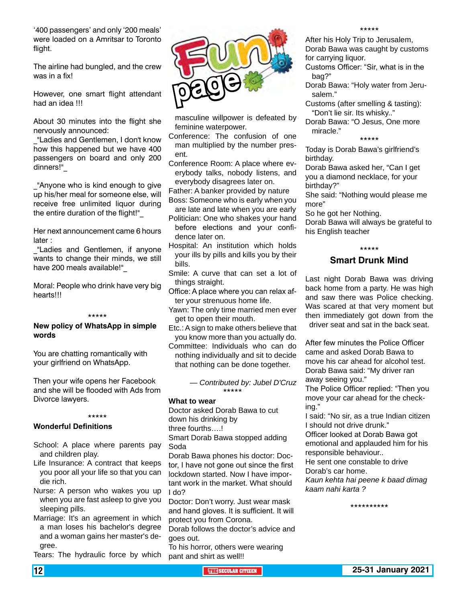'400 passengers' and only '200 meals' were loaded on a Amritsar to Toronto️ flight.

The airline had bungled, and the crew was in a fix!

However, one smart flight attendant had an idea !!!

About 30 minutes into the flight she nervously announced:

"Ladies and Gentlemen, I don't know how this happened but we have 400 passengers on board and only 200 dinners!"\_

\_"Anyone who is kind enough to give up his/her meal for someone else, will receive free unlimited liquor during the entire duration of the flight!"

Her next announcement came 6 hours later :

"Ladies and Gentlemen, if anyone wants to change their minds, we still have 200 meals available!"\_

Moral: People who drink have very big hearts!!!

#### \*\*\*\*\*

#### **New policy of WhatsApp in simple words**

You are chatting romantically with your girlfriend on WhatsApp.

Then your wife opens her Facebook and she will be flooded with Ads from Divorce lawyers.

#### \*\*\*\*\*

#### **Wonderful Definitions**

- School: A place where parents pay and children play.
- Life Insurance: A contract that keeps you poor all your life so that you can die rich.
- Nurse: A person who wakes you up when you are fast asleep to give you sleeping pills.
- Marriage: It's an agreement in which a man loses his bachelor's degree and a woman gains her master's degree.

Tears: The hydraulic force by which



masculine willpower is defeated by feminine waterpower.

- Conference: The confusion of one man multiplied by the number present.
- Conference Room: A place where everybody talks, nobody listens, and everybody disagrees later on.
- Father: A banker provided by nature
- Boss: Someone who is early when you are late and late when you are early
- Politician: One who shakes your hand before elections and your confidence later on.
- Hospital: An institution which holds your ills by pills and kills you by their bills.
- Smile: A curve that can set a lot of things straight.
- Office: A place where you can relax after your strenuous home life.
- Yawn: The only time married men ever get to open their mouth.
- Etc.: A sign to make others believe that you know more than you actually do.
- Committee: Individuals who can do nothing individually and sit to decide that nothing can be done together.

*— Contributed by: Jubel D'Cruz* \*\*\*\*\*

#### **What to wear**

Doctor asked Dorab Bawa to cut down his drinking by

three fourths….!

Smart Dorab Bawa stopped adding Soda

Dorab Bawa phones his doctor: Doctor, I have not gone out since the first lockdown started. Now I have important work in the market. What should I do?

Doctor: Don't worry. Just wear mask and hand gloves. It is sufficient. It will protect you from Corona.

Dorab follows the doctor's advice and goes out.

To his horror, others were wearing pant and shirt as well!!

After his Holy Trip to Jerusalem, Dorab Bawa was caught by customs for carrying liquor.

- Customs Officer: "Sir, what is in the bag?"
- Dorab Bawa: "Holy water from Jerusalem."
- Customs (after smelling & tasting): "Don't lie sir. Its whisky.."

Dorab Bawa: "O Jesus, One more miracle."

#### \*\*\*\*\*

Today is Dorab Bawa's girlfriend's birthday.

Dorab Bawa asked her, "Can I get you a diamond necklace, for your birthday?"

She said: "Nothing would please me more"

So he got her Nothing.

Dorab Bawa will always be grateful to his English teacher

#### \*\*\*\*\*

#### **Smart Drunk Mind**

Last night Dorab Bawa was driving back home from a party. He was high and saw there was Police checking. Was scared at that very moment but then immediately got down from the driver seat and sat in the back seat.

After few minutes the Police Officer came and asked Dorab Bawa to move his car ahead for alcohol test. Dorab Bawa said: "My driver ran away seeing you."

The Police Officer replied: "Then you move your car ahead for the checking."

I said: "No sir, as a true Indian citizen I should not drive drunk."

Officer looked at Dorab Bawa got emotional and applauded him for his responsible behaviour..

He sent one constable to drive

Dorab's car home.

*Kaun kehta hai peene k baad dimag kaam nahi karta ?*

\*\*\*\*\*\*\*\*\*\*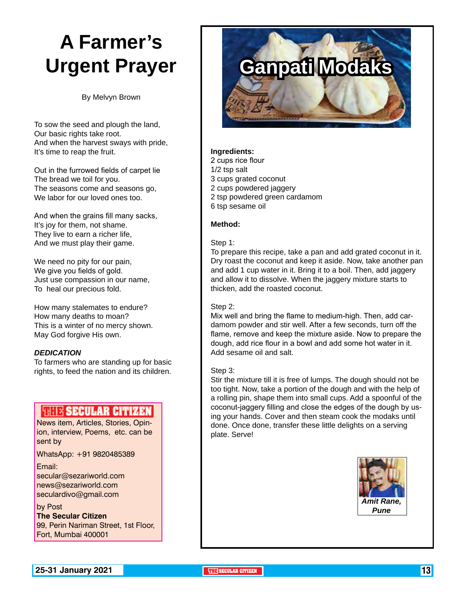# **A Farmer's Urgent Prayer**

By Melvyn Brown

To sow the seed and plough the land, Our basic rights take root. And when the harvest sways with pride, It's time to reap the fruit.

Out in the furrowed fields of carpet lie The bread we toil for you. The seasons come and seasons go, We labor for our loved ones too.

And when the grains fill many sacks, It's joy for them, not shame. They live to earn a richer life, And we must play their game.

We need no pity for our pain, We give you fields of gold. Just use compassion in our name, To heal our precious fold.

How many stalemates to endure? How many deaths to moan? This is a winter of no mercy shown. May God forgive His own.

#### *DEDICATION*

To farmers who are standing up for basic rights, to feed the nation and its children.

#### **FULLE SECULAR CITIZEN**

News item, Articles, Stories, Opinion, interview, Poems, etc. can be sent by

WhatsApp: +91 9820485389

Email: secular@sezariworld.com news@sezariworld.com seculardivo@gmail.com

by Post **The Secular Citizen** 99, Perin Nariman Street, 1st Floor, Fort, Mumbai 400001



#### **Ingredients:**

- 2 cups rice flour
- 1/2 tsp salt
- 3 cups grated coconut
- 2 cups powdered jaggery
- 2 tsp powdered green cardamom
- 6 tsp sesame oil

#### **Method:**

#### Step 1:

To prepare this recipe, take a pan and add grated coconut in it. Dry roast the coconut and keep it aside. Now, take another pan and add 1 cup water in it. Bring it to a boil. Then, add jaggery and allow it to dissolve. When the jaggery mixture starts to thicken, add the roasted coconut.

#### Step 2:

Mix well and bring the flame to medium-high. Then, add cardamom powder and stir well. After a few seconds, turn off the flame, remove and keep the mixture aside. Now to prepare the dough, add rice flour in a bowl and add some hot water in it. Add sesame oil and salt.

#### Step 3:

Stir the mixture till it is free of lumps. The dough should not be too tight. Now, take a portion of the dough and with the help of a rolling pin, shape them into small cups. Add a spoonful of the coconut-jaggery filling and close the edges of the dough by using your hands. Cover and then steam cook the modaks until done. Once done, transfer these little delights on a serving plate. Serve!

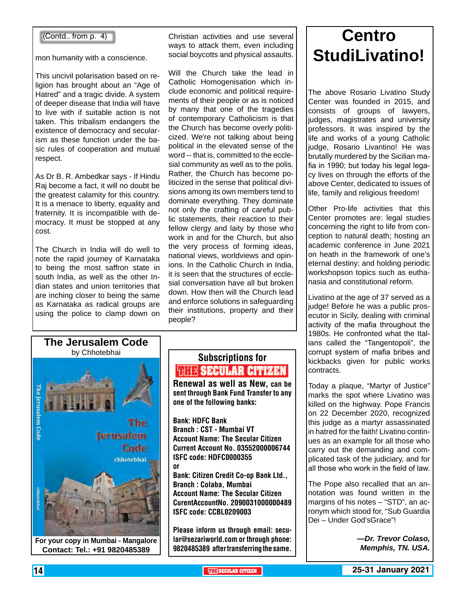#### (Contd.. from p. 4)

mon humanity with a conscience.

This uncivil polarisation based on religion has brought about an "Age of Hatred" and a tragic divide. A system of deeper disease that India will have to live with if suitable action is not taken. This tribalism endangers the existence of democracy and secularism as these function under the basic rules of cooperation and mutual respect.

As Dr B. R. Ambedkar says - If Hindu Raj become a fact, it will no doubt be the greatest calamity for this country. It is a menace to liberty, equality and fraternity. It is incompatible with democracy. It must be stopped at any cost.

The Church in India will do well to note the rapid journey of Karnataka to being the most saffron state in south India, as well as the other Indian states and union territories that are inching closer to being the same as Karnataka as radical groups are using the police to clamp down on

Christian activities and use several ways to attack them, even including social boycotts and physical assaults.

Will the Church take the lead in Catholic Homogenisation which include economic and political requirements of their people or as is noticed by many that one of the tragedies of contemporary Catholicism is that the Church has become overly politicized. We're not talking about being political in the elevated sense of the word -- that is, committed to the ecclesial community as well as to the polis. Rather, the Church has become politicized in the sense that political divisions among its own members tend to dominate everything. They dominate not only the crafting of careful public statements, their reaction to their fellow clergy and laity by those who work in and for the Church, but also the very process of forming ideas, national views, worldviews and opinions. In the Catholic Church in India, it is seen that the structures of ecclesial conversation have all but broken down. How then will the Church lead and enforce solutions in safeguarding their institutions, property and their people?



### Subscriptions for **RENEW SECULAR CITIZEN**<br>Renewal as well as New, can be

sent through Bank Fund Transfer to any one of the following banks:

Bank: HDFC Bank Branch : CST - Mumbai VT Account Name: The Secular Citizen Current Account No. 03552000006744 ISFC code: HDFC0000355 or

Bank: Citizen Credit Co-op Bank Ltd., Branch : Colaba, Mumbai Account Name: The Secular Citizen CurentAccountNo. 2090031000000489 ISFC code: CCBL0209003

Please inform us through email: secular@sezariworld.com or through phone:

### **Centro StudiLivatino!**

The above Rosario Livatino Study Center was founded in 2015, and consists of groups of lawyers, judges, magistrates and university professors. It was inspired by the life and works of a young Catholic judge, Rosario Livantino! He was brutally murdered by the Sicilian mafia in 1990; but today his legal legacy lives on through the efforts of the above Center, dedicated to issues of life, family and religious freedom!

Other Pro-life activities that this Center promotes are: legal studies concerning the right to life from conception to natural death; hosting an academic conference in June 2021 on heath in the framework of one's eternal destiny; and holding periodic workshopson topics such as euthanasia and constitutional reform.

Livatino at the age of 37 served as a judge! Before he was a public prosecutor in Sicily, dealing with criminal activity of the mafia throughout the 1980s. He confronted what the Italians called the "Tangentopoli", the corrupt system of mafia bribes and kickbacks given for public works contracts.

Today a plaque, "Martyr of Justice" marks the spot where Livatino was killed on the highway. Pope Francis on 22 December 2020, recognized this judge as a martyr assassinated in hatred for the faith! Livatino continues as an example for all those who carry out the demanding and complicated task of the judiciary, and for all those who work in the field of law.

The Pope also recalled that an annotation was found written in the margins of his notes – "STD", an acronym which stood for, "Sub Guardia Dei – Under God'sGrace"!

*—Dr. Trevor Colaso,*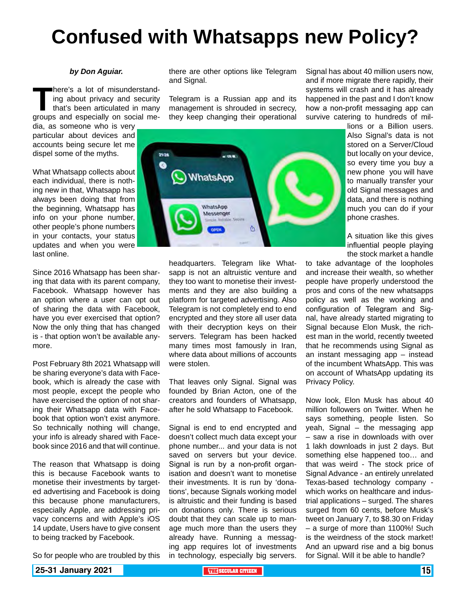# **Confused with Whatsapps new Policy?**

#### *by Don Aguiar.*

**There's a lot of misunderstanding about privacy and security that's been articulated in many groups and especially on social me**ing about privacy and security that's been articulated in many

dia, as someone who is very particular about devices and accounts being secure let me dispel some of the myths.

What Whatsapp collects about each individual, there is nothing new in that, Whatsapp has always been doing that from the beginning, Whatsapp has info on your phone number, other people's phone numbers in your contacts, your status updates and when you were last online.

Since 2016 Whatsapp has been sharing that data with its parent company, Facebook. Whatsapp however has an option where a user can opt out of sharing the data with Facebook, have you ever exercised that option? Now the only thing that has changed is - that option won't be available anymore.

Post February 8th 2021 Whatsapp will be sharing everyone's data with Facebook, which is already the case with most people, except the people who have exercised the option of not sharing their Whatsapp data with Facebook that option won't exist anymore. So technically nothing will change, your info is already shared with Facebook since 2016 and that will continue.

The reason that Whatsapp is doing this is because Facebook wants to monetise their investments by targeted advertising and Facebook is doing this because phone manufacturers, especially Apple, are addressing privacy concerns and with Apple's iOS 14 update, Users have to give consent to being tracked by Facebook.

So for people who are troubled by this

there are other options like Telegram and Signal.

Telegram is a Russian app and its management is shrouded in secrecy, they keep changing their operational



headquarters. Telegram like Whatsapp is not an altruistic venture and they too want to monetise their investments and they are also building a platform for targeted advertising. Also Telegram is not completely end to end encrypted and they store all user data with their decryption keys on their servers. Telegram has been hacked many times most famously in Iran, where data about millions of accounts were stolen.

That leaves only Signal. Signal was founded by Brian Acton, one of the creators and founders of Whatsapp, after he sold Whatsapp to Facebook.

Signal is end to end encrypted and doesn't collect much data except your phone number... and your data is not saved on servers but your device. Signal is run by a non-profit organisation and doesn't want to monetise their investments. It is run by 'donations', because Signals working model is altruistic and their funding is based on donations only. There is serious doubt that they can scale up to manage much more than the users they already have. Running a messaging app requires lot of investments in technology, especially big servers.

Signal has about 40 million users now, and if more migrate there rapidly, their systems will crash and it has already happened in the past and I don't know how a non-profit messaging app can survive catering to hundreds of mil-

lions or a Billion users. Also Signal's data is not stored on a Server/Cloud but locally on your device, so every time you buy a new phone you will have to manually transfer your old Signal messages and data, and there is nothing much you can do if your phone crashes.

A situation like this gives influential people playing the stock market a handle

to take advantage of the loopholes and increase their wealth, so whether people have properly understood the pros and cons of the new whatsapps policy as well as the working and configuration of Telegram and Signal, have already started migrating to Signal because Elon Musk, the richest man in the world, recently tweeted that he recommends using Signal as an instant messaging app – instead of the incumbent WhatsApp. This was on account of WhatsApp updating its Privacy Policy.

Now look, Elon Musk has about 40 million followers on Twitter. When he says something, people listen. So yeah, Signal – the messaging app – saw a rise in downloads with over 1 lakh downloads in just 2 days. But something else happened too… and that was weird - The stock price of Signal Advance - an entirely unrelated Texas-based technology company which works on healthcare and industrial applications – surged. The shares surged from 60 cents, before Musk's tweet on January 7, to \$8.30 on Friday – a surge of more than 1100%! Such is the weirdness of the stock market! And an upward rise and a big bonus for Signal. Will it be able to handle?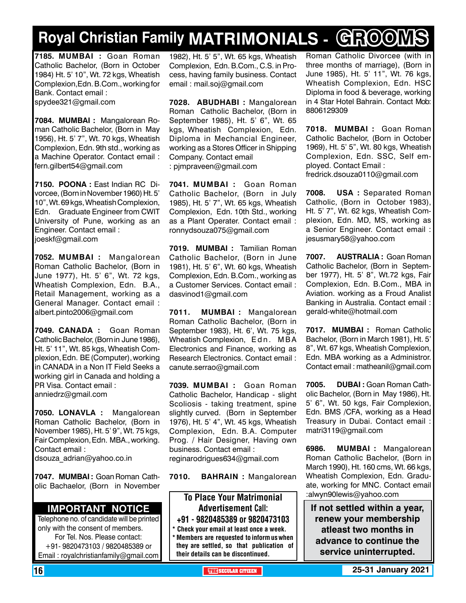# **Royal Christian Family MATRIMONIALS - GROOMS**

**7185. MUMBAI :** Goan Roman Catholic Bachelor, (Born in October 1984) Ht. 5' 10", Wt. 72 kgs, Wheatish Complexion,Edn. B.Com., working for Bank. Contact email : spydee321@gmail.com

**7084. MUMBAI :** Mangalorean Roman Catholic Bachelor, (Born in May 1956), Ht. 5' 7", Wt. 70 kgs, Wheatish Complexion, Edn. 9th std., working as a Machine Operator. Contact email : fern.gilbert54@gmail.com

**7150. POONA :** East Indian RC Divorcee, (Born in November 1960) Ht. 5' 10", Wt. 69 kgs, Wheatish Complexion, Edn. Graduate Engineer from CWIT University of Pune, working as an Engineer. Contact email : joeskf@gmail.com

**7052. MUMBAI :** Mangalorean Roman Catholic Bachelor, (Born in June 1977), Ht. 5' 6", Wt. 72 kgs, Wheatish Complexion, Edn. B.A., Retail Management, working as a General Manager. Contact email : albert.pinto2006@gmail.com

**7049. CANADA :** Goan Roman Catholic Bachelor, (Born in June 1986), Ht. 5' 11", Wt. 85 kgs, Wheatish Complexion, Edn. BE (Computer), working in CANADA in a Non IT Field Seeks a working girl in Canada and holding a PR Visa. Contact email : anniedrz@gmail.com

**7050. LONAVLA :** Mangalorean Roman Catholic Bachelor, (Born in November 1985), Ht. 5' 9", Wt. 75 kgs, Fair Complexion, Edn. MBA., working. Contact email : dsouza adrian@yahoo.co.in

**7047. MUMBAI :** Goan Roman Catholic Bachaelor, (Born in November

#### **Important Notice**

Telephone no. of candidate will be printed only with the consent of members. For Tel. Nos. Please contact: +91- 9820473103 / 9820485389 or Email : royalchristianfamily@gmail.com

1982), Ht. 5' 5", Wt. 65 kgs, Wheatish Complexion, Edn. B.Com., C.S. in Process, having family business. Contact email : mail.soj@gmail.com

**7028. ABUDHABI :** Mangalorean Roman Catholic Bachelor, (Born in September 1985), Ht. 5' 6", Wt. 65 kgs, Wheatish Complexion, Edn. Diploma in Mechancial Engineer, working as a Stores Officer in Shipping Company. Contact email : pjmpraveen@gmail.com

**7041. MUMBAI :** Goan Roman Catholic Bachelor, (Born in July 1985), Ht. 5' 7", Wt. 65 kgs, Wheatish Complexion, Edn. 10th Std., working as a Plant Operater. Contact email : ronnydsouza075@gmail.com

**7019. MUMBAI :** Tamilian Roman Catholic Bachelor, (Born in June 1981), Ht. 5' 6", Wt. 60 kgs, Wheatish Complexion, Edn. B.Com., working as a Customer Services. Contact email : dasvinod1@gmail.com

**7011. MUMBAI :** Mangalorean Roman Catholic Bachelor, (Born in September 1983), Ht. 6', Wt. 75 kgs, Wheatish Complexion, Edn. MBA Electronics and Finance, working as Research Electronics. Contact email : canute.serrao@gmail.com

**7039. MUMBAI :** Goan Roman Catholic Bachelor, Handicap - slight Scoliosis - taking treatment, spine slightly curved. (Born in September 1976), Ht. 5' 4", Wt. 45 kgs, Wheatish Complexion, Edn. B.A. Computer Prog. / Hair Designer, Having own business. Contact email : reginarodrigues634@gmail.com

**7010. BAHRAIN :** Mangalorean

To Place Your Matrimonial Advertisement Call: +91 - 9820485389 or 9820473103 \* Check your email at least once a week. \* Members are requested to inform us when

they are settled, so that publication of their details can be discontinued.

Roman Catholic Divorcee (with in three months of marriage), (Born in June 1985), Ht. 5' 11", Wt. 76 kgs, Wheatish Complexion, Edn. HSC Diploma in food & beverage, working in 4 Star Hotel Bahrain. Contact Mob: 8806129309

**7018. MUMBAI :** Goan Roman Catholic Bachelor, (Born in October 1969), Ht. 5' 5", Wt. 80 kgs, Wheatish Complexion, Edn. SSC, Self employed. Contact Email : fredrick.dsouza0110@gmail.com

**7008. USA :** Separated Roman Catholic, (Born in October 1983), Ht. 5' 7", Wt. 62 kgs, Wheatish Complexion, Edn. MD, MS, working as a Senior Engineer. Contact email : jesusmary58@yahoo.com

**7007. AUSTRALIA :** Goan Roman Catholic Bachelor, (Born in September 1977), Ht. 5' 8", Wt.72 kgs, Fair Complexion, Edn. B.Com., MBA in Aviation. working as a Froud Analist Banking in Australia. Contact email : gerald-white@hotmail.com

**7017. MUMBAI :** Roman Catholic Bachelor, (Born in March 1981), Ht. 5' 8", Wt. 67 kgs, Wheatish Complexion, Edn. MBA working as a Administror. Contact email : matheanil@gmail.com

**7005. DUBAI :** Goan Roman Catholic Bachelor, (Born in May 1986), Ht. 5' 6", Wt. 50 kgs, Fair Complexion, Edn. BMS /CFA, working as a Head Treasury in Dubai. Contact email : matri3119@gmail.com

**6986. MUMBAI :** Mangalorean Roman Catholic Bachelor, (Born in March 1990), Ht. 160 cms, Wt. 66 kgs, Wheatish Complexion, Edn. Graduate, working for MNC. Contact email :alwyn90lewis@yahoo.com

**If not settled within a year, renew your membership atleast two months in advance to continue the service uninterrupted.**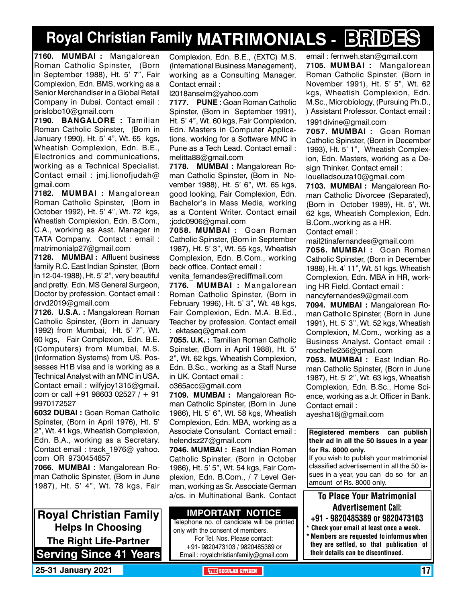# **Royal Christian Family MATRIMONIALS - BRIDES**

**7160. MUMBAI :** Mangalorean Roman Catholic Spinster, (Born in September 1988), Ht. 5' 7", Fair Complexion, Edn. BMS, working as a Senior Merchandiser in a Global Retail Company in Dubai. Contact email : prislobo10@gmail.com

**7190. BANGALORE :** Tamilian Roman Catholic Spinster, (Born in January 1990), Ht. 5' 4", Wt. 65 kgs, Wheatish Complexion, Edn. B.E., Electronics and communications, working as a Technical Specialist. Contact email : jmj.lionofjudah@ gmail.com

**7182. MUMBAI :** Mangalorean Roman Catholic Spinster, (Born in October 1992), Ht. 5' 4", Wt. 72 kgs, Wheatish Complexion, Edn. B.Com., C.A., working as Asst. Manager in TATA Company. Contact : email : matrimonialp27@gmail.com

**7128. MUMBAI :** Affluent business family R.C. East Indian Spinster, (Born in 12-04-1988), Ht. 5' 2", very beautiful and pretty. Edn. MS General Surgeon, Doctor by profession. Contact email : drvd2019@gmail.com

**7126. U.S.A. :** Mangalorean Roman Catholic Spinster, (Born in January 1992) from Mumbai, Ht. 5' 7", Wt. 60 kgs, Fair Complexion, Edn. B.E. (Computers) from Mumbai, M.S. (Information Systems) from US. Possesses H1B visa and is working as a Technical Analyst with an MNC in USA. Contact email : wilfyjoy1315@gmail. com or call  $+91$  98603 02527 /  $+91$ 9970172527

**6032 DUBAI :** Goan Roman Catholic Spinster, (Born in April 1976), Ht. 5' 2", Wt. 41 kgs, Wheatish Complexion, Edn. B.A., working as a Secretary. Contact email : track 1976@ yahoo. com OR 9730454857

**7066. MUMBAI :** Mangalorean Roman Catholic Spinster, (Born in June 1987), Ht. 5' 4", Wt. 78 kgs, Fair

**Royal Christian Family Helps In Choosing The Right Life-Partner Serving Since 41 Years** Complexion, Edn. B.E., (EXTC) M.S. (International Business Management), working as a Consulting Manager. Contact email :

l2018anselm@yahoo.com

**7177. PUNE :** Goan Roman Catholic Spinster, (Born in September 1991), Ht. 5' 4", Wt. 60 kgs, Fair Complexion, Edn. Masters in Computer Applications. working for a Software MNC in Pune as a Tech Lead. Contact email : melitta88@gmail.com

**7178. MUMBAI :** Mangalorean Roman Catholic Spinster, (Born in November 1988), Ht. 5' 6", Wt. 65 kgs, good looking, Fair Complexion, Edn. Bachelor's in Mass Media, working as a Content Writer. Contact email :jcdc0906@gmail.com

**7058. MUMBAI :** Goan Roman Catholic Spinster, (Born in September 1987), Ht. 5' 3", Wt. 55 kgs, Wheatish Complexion, Edn. B.Com., working back office. Contact email : venita\_fernandes@rediffmail.com

**7176. MUMBAI :** Mangalorean Roman Catholic Spinster, (Born in February 1996), Ht. 5' 3", Wt. 48 kgs, Fair Complexion, Edn. M.A. B.Ed., Teacher by profession. Contact email : ektaseq@gmail.com

**7055. U.K. :** Tamilian Roman Catholic Spinster, (Born in April 1988), Ht. 5' 2", Wt. 62 kgs, Wheatish Complexion, Edn. B.Sc., working as a Staff Nurse in UK. Contact email : o365acc@gmail.com

**7109. MUMBAI :** Mangalorean Roman Catholic Spinster, (Born in June 1986), Ht. 5' 6", Wt. 58 kgs, Wheatish Complexion, Edn. MBA, working as a Associate Consulant. Contact email : helendsz27@gmail.com

**7046. MUMBAI :** East Indian Roman Catholic Spinster, (Born in October 1986), Ht. 5' 5", Wt. 54 kgs, Fair Complexion, Edn. B.Com., / 7 Level German, working as Sr. Associate German a/cs. in Multinational Bank. Contact

#### **Important Notice**

Telephone no. of candidate will be printed only with the consent of members. For Tel. Nos. Please contact: +91- 9820473103 / 9820485389 or Email : royalchristianfamily@gmail.com

email : fernweh.stan@gmail.com **7105. MUMBAI :** Mangalorean Roman Catholic Spinster, (Born in November 1991), Ht. 5' 5", Wt. 62 kgs, Wheatish Complexion, Edn. M.Sc., Microbiology, (Pursuing Ph.D., ) Assistant Professor. Contact email :

1991divine@gmail.com

**7057. MUMBAI :** Goan Roman Catholic Spinster, (Born in December 1993), Ht. 5' 1", Wheatish Complexion, Edn. Masters, working as a Design Thinker. Contact email : louelladsouza10@gmail.com

**7103. MUMBAI :** Mangalorean Roman Catholic Divorcee (Separated), (Born in October 1989), Ht. 5', Wt. 62 kgs, Wheatish Complexion, Edn. B.Com.,working as a HR.

Contact email :

mail2tinafernandes@gmail.com **7056. MUMBAI :** Goan Roman Catholic Spinster, (Born in December 1988), Ht. 4' 11", Wt. 51 kgs, Wheatish Complexion, Edn. MBA in HR, working HR Field. Contact email : nancyfernandes9@gmail.com

**7094. MUMBAI :** Mangalorean Roman Catholic Spinster, (Born in June 1991), Ht. 5' 3", Wt. 52 kgs, Wheatish Complexion, M.Com., working as a Business Analyst. Contact email : roschelle256@gmail.com

**7053. MUMBAI :** East Indian Roman Catholic Spinster, (Born in June 1987), Ht. 5' 2", Wt. 63 kgs, Wheatish Complexion, Edn. B.Sc., Home Science, working as a Jr. Officer in Bank. Contact email :

ayesha18j@gmail.com

**Registered members can publish their ad in all the 50 issues in a year for Rs. 8000 only.**

If you wish to publish your matrimonial classified advertisement in all the 50 issues in a year, you can do so for an amount of Rs. 8000 only.

#### To Place Your Matrimonial Advertisement Call:

- +91 9820485389 or 9820473103
- \* Check your email at least once a week. \* Members are requested to inform us when they are settled, so that publication of their details can be discontinued.

**25-31 January 2021 • THE RESECULAR CITIZEN** 17 **THE** SECULAR CITIZEN 17 **THE** SECULAR CITIZEN 17 **THE** SECULAR CITIZEN 17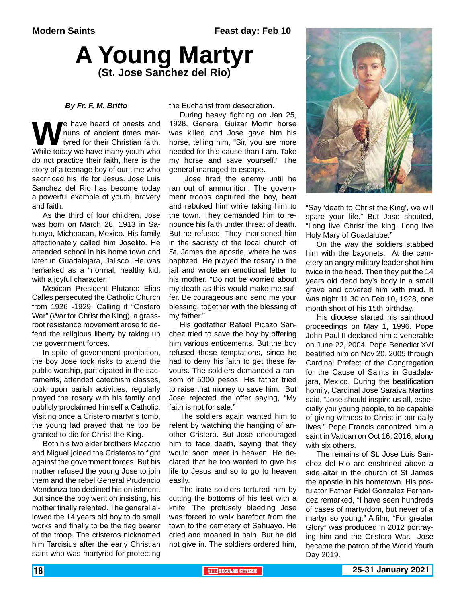# **A Young Martyr (St. Jose Sanchez del Rio)**

#### *By Fr. F. M. Britto*

**W**e have heard of priests and<br>tyred for their Christian faith.<br>While today we have many youth who nuns of ancient times martyred for their Christian faith. While today we have many youth who do not practice their faith, here is the story of a teenage boy of our time who sacrificed his life for Jesus. Jose Luis Sanchez del Rio has become today a powerful example of youth, bravery and faith.

As the third of four children, Jose was born on March 28, 1913 in Sahuayo, Michoacan, Mexico. His family affectionately called him Joselito. He attended school in his home town and later in Guadalajara, Jalisco. He was remarked as a "normal, healthy kid, with a joyful character."

Mexican President Plutarco Elias Calles persecuted the Catholic Church from 1926 -1929. Calling it "Cristero War" (War for Christ the King), a grassroot resistance movement arose to defend the religious liberty by taking up the government forces.

In spite of government prohibition, the boy Jose took risks to attend the public worship, participated in the sacraments, attended catechism classes, took upon parish activities, regularly prayed the rosary with his family and publicly proclaimed himself a Catholic. Visiting once a Cristero martyr's tomb, the young lad prayed that he too be granted to die for Christ the King.

Both his two elder brothers Macario and Miguel joined the Cristeros to fight against the government forces. But his mother refused the young Jose to join them and the rebel General Prudencio Mendonza too declined his enlistment. But since the boy went on insisting, his mother finally relented. The general allowed the 14 years old boy to do small works and finally to be the flag bearer of the troop. The cristeros nicknamed him Tarcisius after the early Christian saint who was martyred for protecting

the Eucharist from desecration.

During heavy fighting on Jan 25, 1928, General Guizar Morfin horse was killed and Jose gave him his horse, telling him, "Sir, you are more needed for this cause than I am. Take my horse and save yourself." The general managed to escape.

 Jose fired the enemy until he ran out of ammunition. The government troops captured the boy, beat and rebuked him while taking him to the town. They demanded him to renounce his faith under threat of death. But he refused. They imprisoned him in the sacristy of the local church of St. James the apostle, where he was baptized. He prayed the rosary in the jail and wrote an emotional letter to his mother, "Do not be worried about my death as this would make me suffer. Be courageous and send me your blessing, together with the blessing of my father."

His godfather Rafael Picazo Sanchez tried to save the boy by offering him various enticements. But the boy refused these temptations, since he had to deny his faith to get these favours. The soldiers demanded a ransom of 5000 pesos. His father tried to raise that money to save him. But Jose rejected the offer saying, "My faith is not for sale."

The soldiers again wanted him to relent by watching the hanging of another Cristero. But Jose encouraged him to face death, saying that they would soon meet in heaven. He declared that he too wanted to give his life to Jesus and so to go to heaven easily.

The irate soldiers tortured him by cutting the bottoms of his feet with a knife. The profusely bleeding Jose was forced to walk barefoot from the town to the cemetery of Sahuayo. He cried and moaned in pain. But he did not give in. The soldiers ordered him,



"Say 'death to Christ the King', we will spare your life." But Jose shouted, "Long live Christ the king. Long live Holy Mary of Guadalupe."

On the way the soldiers stabbed him with the bayonets. At the cemetery an angry military leader shot him twice in the head. Then they put the 14 years old dead boy's body in a small grave and covered him with mud. It was night 11.30 on Feb 10, 1928, one month short of his 15th birthday.

His diocese started his sainthood proceedings on May 1, 1996. Pope John Paul II declared him a venerable on June 22, 2004. Pope Benedict XVI beatified him on Nov 20, 2005 through Cardinal Prefect of the Congregation for the Cause of Saints in Guadalajara, Mexico. During the beatification homily, Cardinal Jose Saraiva Martins said, "Jose should inspire us all, especially you young people, to be capable of giving witness to Christ in our daily lives." Pope Francis canonized him a saint in Vatican on Oct 16, 2016, along with six others.

The remains of St. Jose Luis Sanchez del Rio are enshrined above a side altar in the church of St James the apostle in his hometown. His postulator Father Fidel Gonzalez Fernandez remarked, "I have seen hundreds of cases of martyrdom, but never of a martyr so young." A film, "For greater Glory" was produced in 2012 portraying him and the Cristero War. Jose became the patron of the World Youth Day 2019.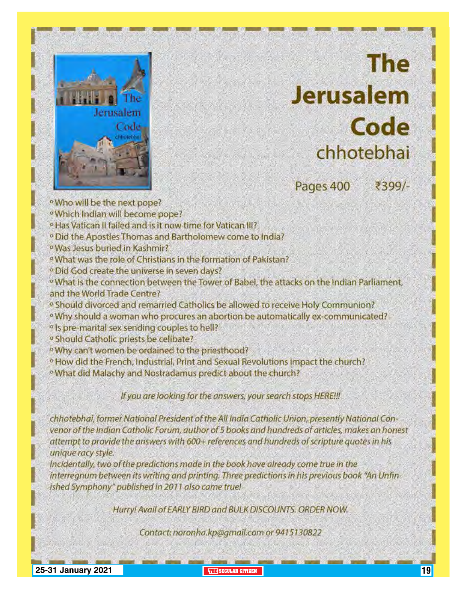

# **The Jerusalem** Code chhotebhai

Pages 400

₹399/-

- · Who will be the next pope?
- <sup>o</sup> Which Indian will become pope?
- <sup>o</sup> Has Vatican II failed and is it now time for Vatican III?
- <sup>o</sup> Did the Apostles Thomas and Bartholomew come to India?
- <sup>o</sup> Was Jesus buried in Kashmir?
- <sup>9</sup> What was the role of Christians in the formation of Pakistan?
- <sup>o</sup> Did God create the universe in seven days?
- <sup>o</sup> What is the connection between the Tower of Babel, the attacks on the Indian Parliament, and the World Trade Centre?
- <sup>10</sup> Should divorced and remarried Catholics be allowed to receive Holy Communion?
- <sup>o</sup> Why should a woman who procures an abortion be automatically ex-communicated?
- <sup>o</sup> Is pre-marital sex sending couples to hell?
- <sup>o</sup> Should Catholic priests be celibate?
- <sup>6</sup>Why can't women be ordained to the priesthood?
- <sup>o</sup> How did the French, Industrial, Print and Sexual Revolutions impact the church?
- <sup>o</sup> What did Malachy and Nostradamus predict about the church?

If you are looking for the answers, your search stops HERE!!!

chhotebhai, former National President of the All India Catholic Union, presently National Convenor of the Indian Catholic Forum, author of 5 books and hundreds of articles, makes an honest attempt to provide the answers with 600+ references and hundreds of scripture quotes in his unique racy style.

Incidentally, two of the predictions made in the book have already come true in the interregnum between its writing and printing. Three predictions in his previous book "An Unfinished Symphony" published in 2011 also came true!

Hurry! Avail of EARLY BIRD and BULK DISCOUNTS. ORDER NOW.

Contact: noronha.kp@gmail.com or 9415130822